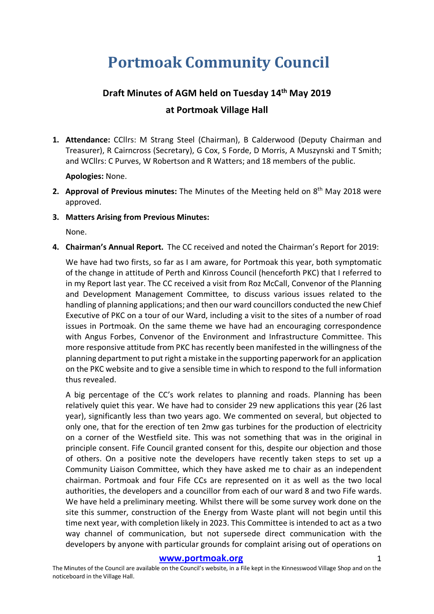# **Portmoak Community Council**

# **Draft Minutes of AGM held on Tuesday 14th May 2019 at Portmoak Village Hall**

**1. Attendance:** CCllrs: M Strang Steel (Chairman), B Calderwood (Deputy Chairman and Treasurer), R Cairncross (Secretary), G Cox, S Forde, D Morris, A Muszynski and T Smith; and WCllrs: C Purves, W Robertson and R Watters; and 18 members of the public.

**Apologies:** None.

- **2. Approval of Previous minutes:** The Minutes of the Meeting held on 8<sup>th</sup> May 2018 were approved.
- **3. Matters Arising from Previous Minutes:**

None.

**4. Chairman's Annual Report.** The CC received and noted the Chairman's Report for 2019:

We have had two firsts, so far as I am aware, for Portmoak this year, both symptomatic of the change in attitude of Perth and Kinross Council (henceforth PKC) that I referred to in my Report last year. The CC received a visit from Roz McCall, Convenor of the Planning and Development Management Committee, to discuss various issues related to the handling of planning applications; and then our ward councillors conducted the new Chief Executive of PKC on a tour of our Ward, including a visit to the sites of a number of road issues in Portmoak. On the same theme we have had an encouraging correspondence with Angus Forbes, Convenor of the Environment and Infrastructure Committee. This more responsive attitude from PKC has recently been manifested in the willingness of the planning department to put right a mistake in the supporting paperwork for an application on the PKC website and to give a sensible time in which to respond to the full information thus revealed.

A big percentage of the CC's work relates to planning and roads. Planning has been relatively quiet this year. We have had to consider 29 new applications this year (26 last year), significantly less than two years ago. We commented on several, but objected to only one, that for the erection of ten 2mw gas turbines for the production of electricity on a corner of the Westfield site. This was not something that was in the original in principle consent. Fife Council granted consent for this, despite our objection and those of others. On a positive note the developers have recently taken steps to set up a Community Liaison Committee, which they have asked me to chair as an independent chairman. Portmoak and four Fife CCs are represented on it as well as the two local authorities, the developers and a councillor from each of our ward 8 and two Fife wards. We have held a preliminary meeting. Whilst there will be some survey work done on the site this summer, construction of the Energy from Waste plant will not begin until this time next year, with completion likely in 2023. This Committee is intended to act as a two way channel of communication, but not supersede direct communication with the developers by anyone with particular grounds for complaint arising out of operations on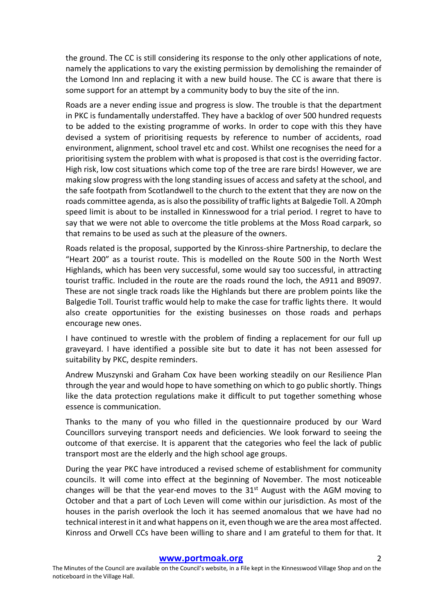the ground. The CC is still considering its response to the only other applications of note, namely the applications to vary the existing permission by demolishing the remainder of the Lomond Inn and replacing it with a new build house. The CC is aware that there is some support for an attempt by a community body to buy the site of the inn.

Roads are a never ending issue and progress is slow. The trouble is that the department in PKC is fundamentally understaffed. They have a backlog of over 500 hundred requests to be added to the existing programme of works. In order to cope with this they have devised a system of prioritising requests by reference to number of accidents, road environment, alignment, school travel etc and cost. Whilst one recognises the need for a prioritising system the problem with what is proposed is that cost is the overriding factor. High risk, low cost situations which come top of the tree are rare birds! However, we are making slow progress with the long standing issues of access and safety at the school, and the safe footpath from Scotlandwell to the church to the extent that they are now on the roads committee agenda, as is also the possibility of traffic lights at Balgedie Toll. A 20mph speed limit is about to be installed in Kinnesswood for a trial period. I regret to have to say that we were not able to overcome the title problems at the Moss Road carpark, so that remains to be used as such at the pleasure of the owners.

Roads related is the proposal, supported by the Kinross-shire Partnership, to declare the "Heart 200" as a tourist route. This is modelled on the Route 500 in the North West Highlands, which has been very successful, some would say too successful, in attracting tourist traffic. Included in the route are the roads round the loch, the A911 and B9097. These are not single track roads like the Highlands but there are problem points like the Balgedie Toll. Tourist traffic would help to make the case for traffic lights there. It would also create opportunities for the existing businesses on those roads and perhaps encourage new ones.

I have continued to wrestle with the problem of finding a replacement for our full up graveyard. I have identified a possible site but to date it has not been assessed for suitability by PKC, despite reminders.

Andrew Muszynski and Graham Cox have been working steadily on our Resilience Plan through the year and would hope to have something on which to go public shortly. Things like the data protection regulations make it difficult to put together something whose essence is communication.

Thanks to the many of you who filled in the questionnaire produced by our Ward Councillors surveying transport needs and deficiencies. We look forward to seeing the outcome of that exercise. It is apparent that the categories who feel the lack of public transport most are the elderly and the high school age groups.

During the year PKC have introduced a revised scheme of establishment for community councils. It will come into effect at the beginning of November. The most noticeable changes will be that the year-end moves to the  $31<sup>st</sup>$  August with the AGM moving to October and that a part of Loch Leven will come within our jurisdiction. As most of the houses in the parish overlook the loch it has seemed anomalous that we have had no technical interest in it and what happens on it, even though we are the area most affected. Kinross and Orwell CCs have been willing to share and I am grateful to them for that. It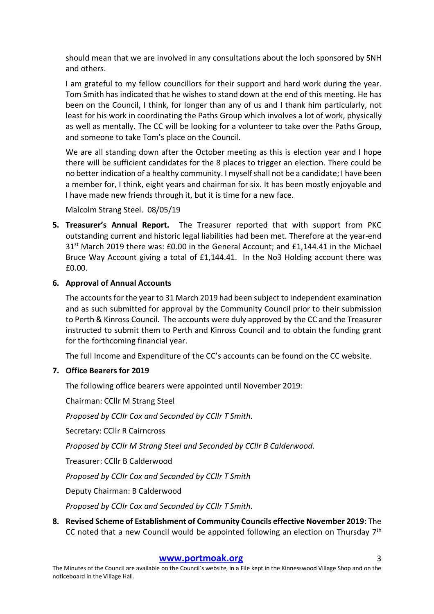should mean that we are involved in any consultations about the loch sponsored by SNH and others.

I am grateful to my fellow councillors for their support and hard work during the year. Tom Smith has indicated that he wishes to stand down at the end of this meeting. He has been on the Council, I think, for longer than any of us and I thank him particularly, not least for his work in coordinating the Paths Group which involves a lot of work, physically as well as mentally. The CC will be looking for a volunteer to take over the Paths Group, and someone to take Tom's place on the Council.

We are all standing down after the October meeting as this is election year and I hope there will be sufficient candidates for the 8 places to trigger an election. There could be no better indication of a healthy community. I myself shall not be a candidate; I have been a member for, I think, eight years and chairman for six. It has been mostly enjoyable and I have made new friends through it, but it is time for a new face.

Malcolm Strang Steel. 08/05/19

**5. Treasurer's Annual Report.** The Treasurer reported that with support from PKC outstanding current and historic legal liabilities had been met. Therefore at the year-end  $31<sup>st</sup>$  March 2019 there was: £0.00 in the General Account; and £1,144.41 in the Michael Bruce Way Account giving a total of £1,144.41. In the No3 Holding account there was £0.00.

# **6. Approval of Annual Accounts**

The accounts for the year to 31 March 2019 had been subject to independent examination and as such submitted for approval by the Community Council prior to their submission to Perth & Kinross Council. The accounts were duly approved by the CC and the Treasurer instructed to submit them to Perth and Kinross Council and to obtain the funding grant for the forthcoming financial year.

The full Income and Expenditure of the CC's accounts can be found on the CC website.

# **7. Office Bearers for 2019**

The following office bearers were appointed until November 2019:

Chairman: CCllr M Strang Steel

*Proposed by CCllr Cox and Seconded by CCllr T Smith.* 

Secretary: CCllr R Cairncross

*Proposed by CCllr M Strang Steel and Seconded by CCllr B Calderwood.*

Treasurer: CCllr B Calderwood

*Proposed by CCllr Cox and Seconded by CCllr T Smith*

Deputy Chairman: B Calderwood

*Proposed by CCllr Cox and Seconded by CCllr T Smith.*

**8. Revised Scheme of Establishment of Community Councils effective November 2019:** The CC noted that a new Council would be appointed following an election on Thursday  $7<sup>th</sup>$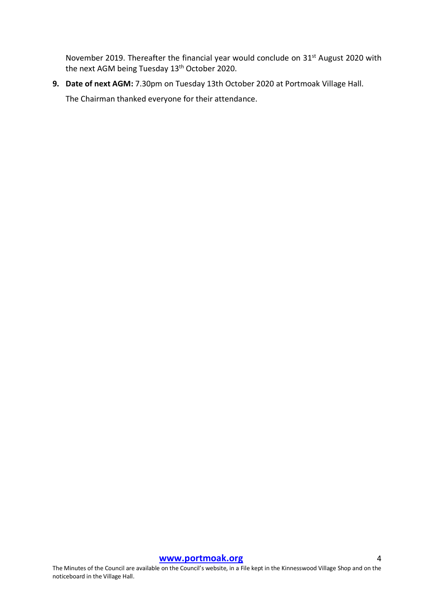November 2019. Thereafter the financial year would conclude on 31st August 2020 with the next AGM being Tuesday 13th October 2020.

**9. Date of next AGM:** 7.30pm on Tuesday 13th October 2020 at Portmoak Village Hall.

The Chairman thanked everyone for their attendance.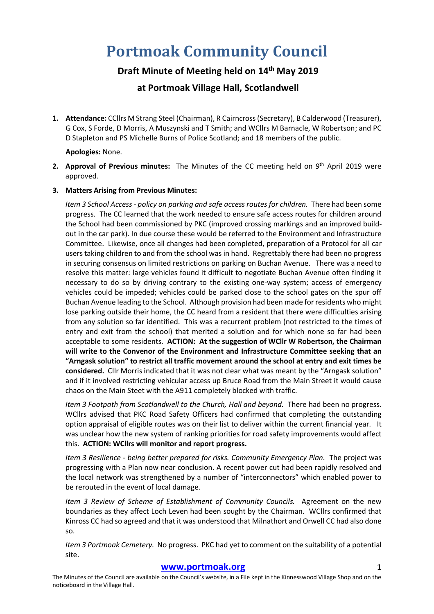# **Portmoak Community Council**

# **Draft Minute of Meeting held on 14th May 2019**

# **at Portmoak Village Hall, Scotlandwell**

**1. Attendance:** CCllrs M Strang Steel (Chairman), R Cairncross (Secretary), B Calderwood (Treasurer), G Cox, S Forde, D Morris, A Muszynski and T Smith; and WCllrs M Barnacle, W Robertson; and PC D Stapleton and PS Michelle Burns of Police Scotland; and 18 members of the public.

### **Apologies:** None.

**2. Approval of Previous minutes:** The Minutes of the CC meeting held on 9th April 2019 were approved.

#### **3. Matters Arising from Previous Minutes:**

*Item 3 School Access - policy on parking and safe access routes for children.* There had been some progress. The CC learned that the work needed to ensure safe access routes for children around the School had been commissioned by PKC (improved crossing markings and an improved buildout in the car park). In due course these would be referred to the Environment and Infrastructure Committee. Likewise, once all changes had been completed, preparation of a Protocol for all car users taking children to and from the school was in hand. Regrettably there had been no progress in securing consensus on limited restrictions on parking on Buchan Avenue. There was a need to resolve this matter: large vehicles found it difficult to negotiate Buchan Avenue often finding it necessary to do so by driving contrary to the existing one-way system; access of emergency vehicles could be impeded; vehicles could be parked close to the school gates on the spur off Buchan Avenue leading to the School. Although provision had been made for residents who might lose parking outside their home, the CC heard from a resident that there were difficulties arising from any solution so far identified. This was a recurrent problem (not restricted to the times of entry and exit from the school) that merited a solution and for which none so far had been acceptable to some residents. **ACTION: At the suggestion of WCllr W Robertson, the Chairman will write to the Convenor of the Environment and Infrastructure Committee seeking that an "Arngask solution" to restrict all traffic movement around the school at entry and exit times be considered.** Cllr Morris indicated that it was not clear what was meant by the "Arngask solution" and if it involved restricting vehicular access up Bruce Road from the Main Street it would cause chaos on the Main Steet with the A911 completely blocked with traffic.

*Item 3 Footpath from Scotlandwell to the Church, Hall and beyond.* There had been no progress. WCllrs advised that PKC Road Safety Officers had confirmed that completing the outstanding option appraisal of eligible routes was on their list to deliver within the current financial year. It was unclear how the new system of ranking priorities for road safety improvements would affect this. **ACTION: WCllrs will monitor and report progress.**

*Item 3 Resilience - being better prepared for risks. Community Emergency Plan.* The project was progressing with a Plan now near conclusion. A recent power cut had been rapidly resolved and the local network was strengthened by a number of "interconnectors" which enabled power to be rerouted in the event of local damage.

*Item 3 Review of Scheme of Establishment of Community Councils.* Agreement on the new boundaries as they affect Loch Leven had been sought by the Chairman. WCllrs confirmed that Kinross CC had so agreed and that it was understood that Milnathort and Orwell CC had also done so.

*Item 3 Portmoak Cemetery.* No progress. PKC had yet to comment on the suitability of a potential site.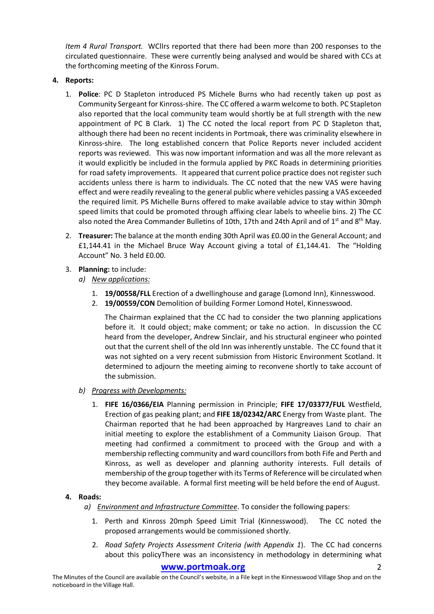*Item 4 Rural Transport.* WCllrs reported that there had been more than 200 responses to the circulated questionnaire. These were currently being analysed and would be shared with CCs at the forthcoming meeting of the Kinross Forum.

## **4. Reports:**

- 1. **Police**: PC D Stapleton introduced PS Michele Burns who had recently taken up post as Community Sergeant for Kinross-shire. The CC offered a warm welcome to both. PC Stapleton also reported that the local community team would shortly be at full strength with the new appointment of PC B Clark. 1) The CC noted the local report from PC D Stapleton that, although there had been no recent incidents in Portmoak, there was criminality elsewhere in Kinross-shire. The long established concern that Police Reports never included accident reports was reviewed. This was now important information and was all the more relevant as it would explicitly be included in the formula applied by PKC Roads in determining priorities for road safety improvements. It appeared that current police practice does not register such accidents unless there is harm to individuals. The CC noted that the new VAS were having effect and were readily revealing to the general public where vehicles passing a VAS exceeded the required limit. PS Michelle Burns offered to make available advice to stay within 30mph speed limits that could be promoted through affixing clear labels to wheelie bins. 2) The CC also noted the Area Commander Bulletins of 10th, 17th and 24th April and of  $1<sup>st</sup>$  and  $8<sup>th</sup>$  May.
- 2. **Treasurer:** The balance at the month ending 30th April was £0.00 in the General Account; and £1,144.41 in the Michael Bruce Way Account giving a total of £1,144.41. The "Holding Account" No. 3 held £0.00.
- 3. **Planning:** to include:
	- *a) New applications:*
		- 1. **19/00558/FLL** Erection of a dwellinghouse and garage (Lomond Inn), Kinnesswood.
		- 2. **19/00559/CON** Demolition of building Former Lomond Hotel, Kinnesswood.

The Chairman explained that the CC had to consider the two planning applications before it. It could object; make comment; or take no action. In discussion the CC heard from the developer, Andrew Sinclair, and his structural engineer who pointed out that the current shell of the old Inn was inherently unstable. The CC found that it was not sighted on a very recent submission from Historic Environment Scotland. It determined to adjourn the meeting aiming to reconvene shortly to take account of the submission.

- *b) Progress with Developments:*
	- 1. **FIFE 16/0366/EIA** Planning permission in Principle; **FIFE 17/03377/FUL** Westfield, Erection of gas peaking plant; and **FIFE 18/02342/ARC** Energy from Waste plant. The Chairman reported that he had been approached by Hargreaves Land to chair an initial meeting to explore the establishment of a Community Liaison Group. That meeting had confirmed a commitment to proceed with the Group and with a membership reflecting community and ward councillors from both Fife and Perth and Kinross, as well as developer and planning authority interests. Full details of membership of the group together with its Terms of Reference will be circulated when they become available. A formal first meeting will be held before the end of August.

### **4. Roads:**

- *a) Environment and Infrastructure Committee*. To consider the following papers:
	- 1. Perth and Kinross 20mph Speed Limit Trial (Kinnesswood). The CC noted the proposed arrangements would be commissioned shortly.
	- 2. *Road Safety Projects Assessment Criteria (with Appendix 1*). The CC had concerns about this policyThere was an inconsistency in methodology in determining what